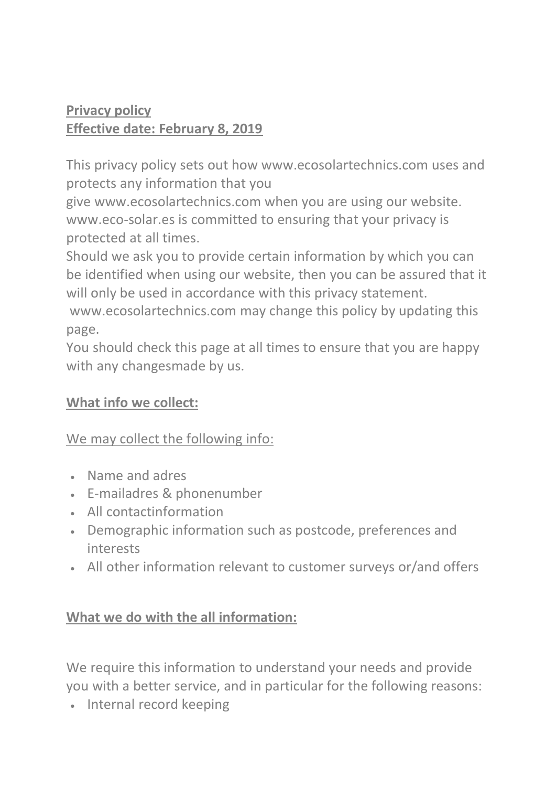### **Privacy policy Effective date: February 8, 2019**

This privacy policy sets out how www.ecosolartechnics.com uses and protects any information that you

give www.ecosolartechnics.com when you are using our website. www.eco-solar.es is committed to ensuring that your privacy is protected at all times.

Should we ask you to provide certain information by which you can be identified when using our website, then you can be assured that it will only be used in accordance with this privacy statement.

www.ecosolartechnics.com may change this policy by updating this page.

You should check this page at all times to ensure that you are happy with any changesmade by us.

### **What info we collect:**

## We may collect the following info:

- Name and adres
- E-mailadres & phonenumber
- All contactinformation
- Demographic information such as postcode, preferences and interests
- All other information relevant to customer surveys or/and offers

### **What we do with the all information:**

We require this information to understand your needs and provide you with a better service, and in particular for the following reasons:

• Internal record keeping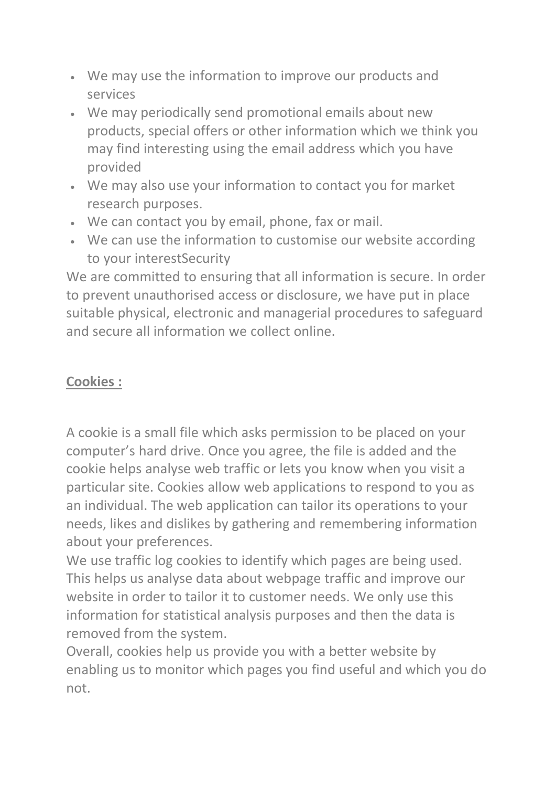- We may use the information to improve our products and services
- We may periodically send promotional emails about new products, special offers or other information which we think you may find interesting using the email address which you have provided
- We may also use your information to contact you for market research purposes.
- We can contact you by email, phone, fax or mail.
- We can use the information to customise our website according to your interestSecurity

We are committed to ensuring that all information is secure. In order to prevent unauthorised access or disclosure, we have put in place suitable physical, electronic and managerial procedures to safeguard and secure all information we collect online.

# **Cookies :**

A cookie is a small file which asks permission to be placed on your computer's hard drive. Once you agree, the file is added and the cookie helps analyse web traffic or lets you know when you visit a particular site. Cookies allow web applications to respond to you as an individual. The web application can tailor its operations to your needs, likes and dislikes by gathering and remembering information about your preferences.

We use traffic log cookies to identify which pages are being used. This helps us analyse data about webpage traffic and improve our website in order to tailor it to customer needs. We only use this information for statistical analysis purposes and then the data is removed from the system.

Overall, cookies help us provide you with a better website by enabling us to monitor which pages you find useful and which you do not.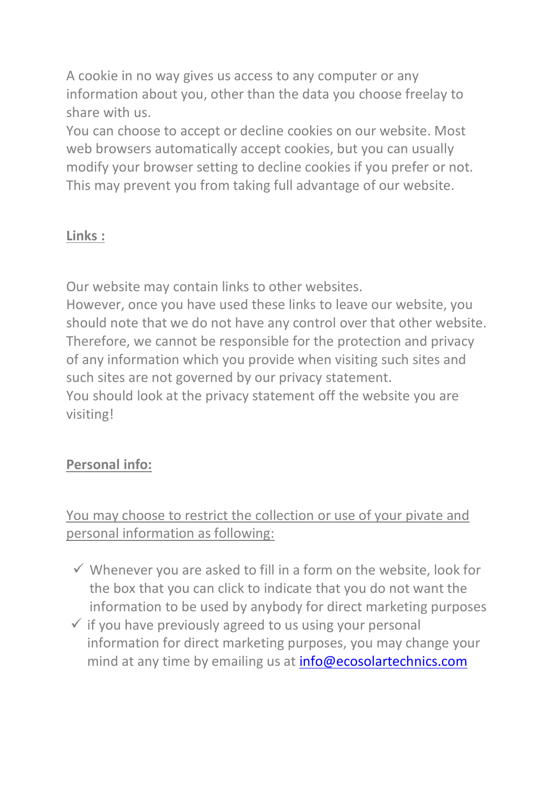A cookie in no way gives us access to any computer or any information about you, other than the data you choose freelay to share with us.

You can choose to accept or decline cookies on our website. Most web browsers automatically accept cookies, but you can usually modify your browser setting to decline cookies if you prefer or not. This may prevent you from taking full advantage of our website.

### **Links :**

Our website may contain links to other websites.

However, once you have used these links to leave our website, you should note that we do not have any control over that other website. Therefore, we cannot be responsible for the protection and privacy of any information which you provide when visiting such sites and such sites are not governed by our privacy statement. You should look at the privacy statement off the website you are visiting!

## **Personal info:**

## You may choose to restrict the collection or use of your pivate and personal information as following:

- $\checkmark$  Whenever you are asked to fill in a form on the website, look for the box that you can click to indicate that you do not want the information to be used by anybody for direct marketing purposes
- $\checkmark$  if you have previously agreed to us using your personal information for direct marketing purposes, you may change your mind at any time by emailing us at [info@ecosolartechnics.com](mailto:info@ecosolartechnics.com)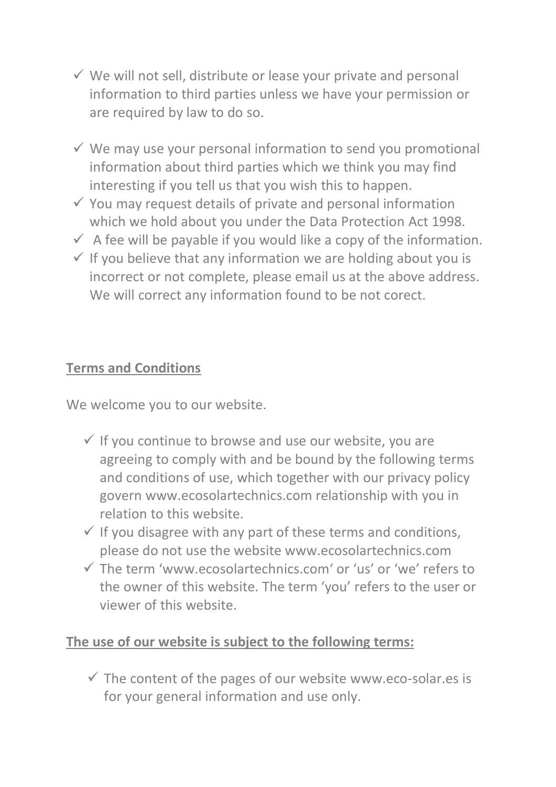- $\checkmark$  We will not sell, distribute or lease your private and personal information to third parties unless we have your permission or are required by law to do so.
- $\checkmark$  We may use your personal information to send you promotional information about third parties which we think you may find interesting if you tell us that you wish this to happen.
- $\checkmark$  You may request details of private and personal information which we hold about you under the Data Protection Act 1998.
- $\checkmark$  A fee will be payable if you would like a copy of the information.
- $\checkmark$  If you believe that any information we are holding about you is incorrect or not complete, please email us at the above address. We will correct any information found to be not corect.

#### **Terms and Conditions**

We welcome you to our website.

- $\checkmark$  If you continue to browse and use our website, you are agreeing to comply with and be bound by the following terms and conditions of use, which together with our privacy policy govern www.ecosolartechnics.com relationship with you in relation to this website.
- $\checkmark$  If you disagree with any part of these terms and conditions, please do not use the website www.ecosolartechnics.com
- The term 'www.ecosolartechnics.com' or 'us' or 'we' refers to the owner of this website. The term 'you' refers to the user or viewer of this website.

#### **The use of our website is subject to the following terms:**

 $\checkmark$  The content of the pages of our website www.eco-solar.es is for your general information and use only.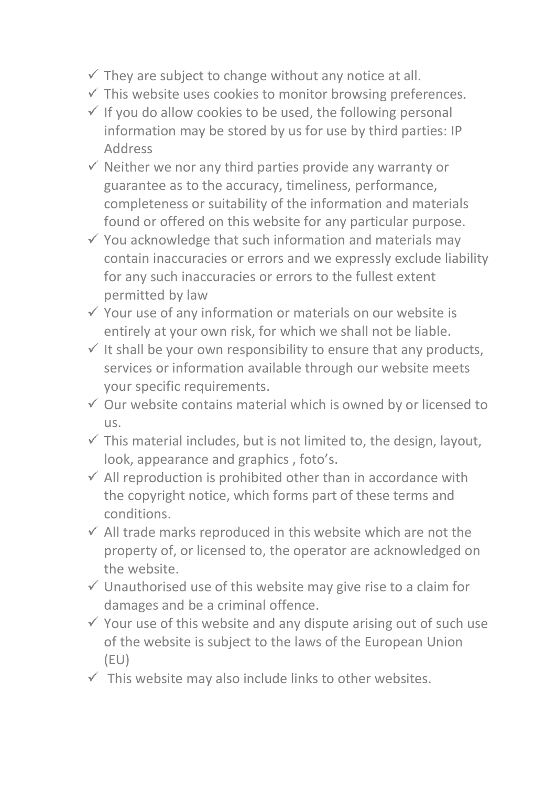- $\checkmark$  They are subject to change without any notice at all.
- $\checkmark$  This website uses cookies to monitor browsing preferences.
- $\checkmark$  If you do allow cookies to be used, the following personal information may be stored by us for use by third parties: IP Address
- $\checkmark$  Neither we nor any third parties provide any warranty or guarantee as to the accuracy, timeliness, performance, completeness or suitability of the information and materials found or offered on this website for any particular purpose.
- $\checkmark$  You acknowledge that such information and materials may contain inaccuracies or errors and we expressly exclude liability for any such inaccuracies or errors to the fullest extent permitted by law
- $\checkmark$  Your use of any information or materials on our website is entirely at your own risk, for which we shall not be liable.
- $\checkmark$  It shall be your own responsibility to ensure that any products, services or information available through our website meets your specific requirements.
- $\checkmark$  Our website contains material which is owned by or licensed to us.
- $\checkmark$  This material includes, but is not limited to, the design, layout, look, appearance and graphics , foto's.
- $\checkmark$  All reproduction is prohibited other than in accordance with the copyright notice, which forms part of these terms and conditions.
- $\checkmark$  All trade marks reproduced in this website which are not the property of, or licensed to, the operator are acknowledged on the website.
- $\checkmark$  Unauthorised use of this website may give rise to a claim for damages and be a criminal offence.
- $\checkmark$  Your use of this website and any dispute arising out of such use of the website is subject to the laws of the European Union (EU)
- $\checkmark$  This website may also include links to other websites.